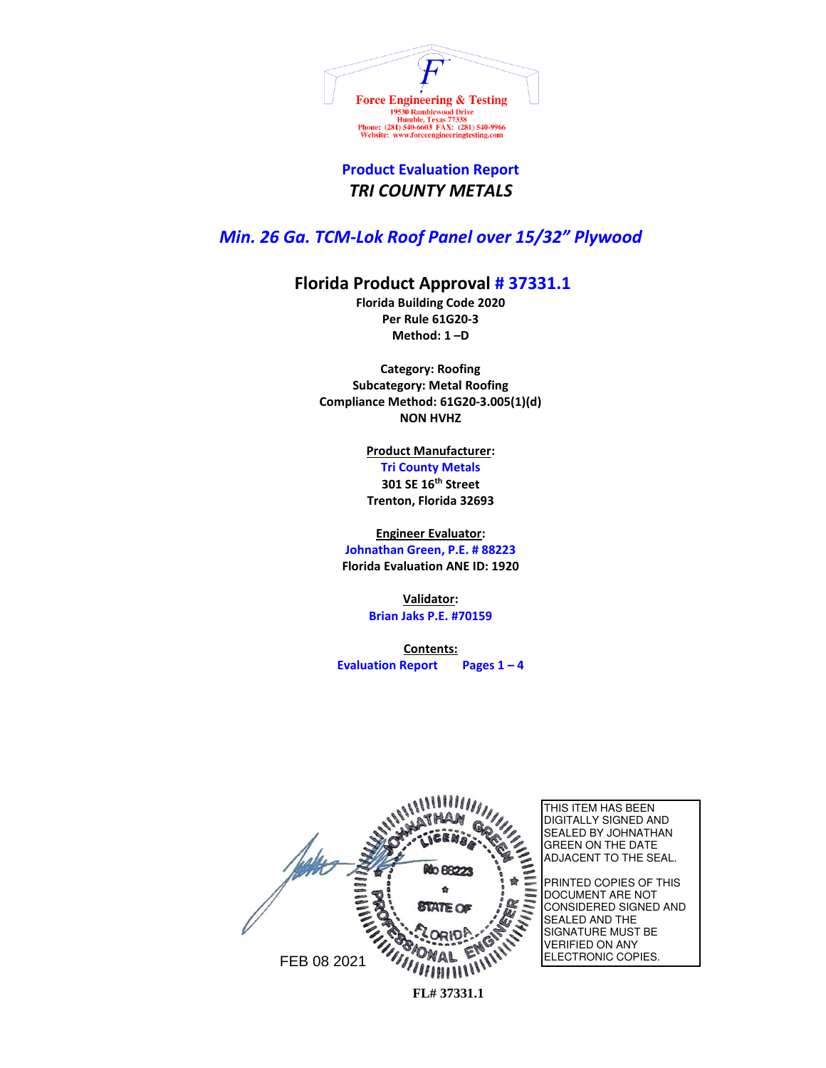

## **Product Evaluation Report**  *TRI COUNTY METALS*

## *Min. 26 Ga. TCM-Lok Roof Panel over 15/32" Plywood*

## **Florida Product Approval # 37331.1**

**Florida Building Code 2020 Per Rule 61G20-3 Method: 1 –D** 

**Category: Roofing Subcategory: Metal Roofing Compliance Method: 61G20-3.005(1)(d) NON HVHZ**

**Product Manufacturer:**

**Tri County Metals 301 SE 16th Street Trenton, Florida 32693**

**Engineer Evaluator: Johnathan Green, P.E. # 88223 Florida Evaluation ANE ID: 1920**

> **Validator: Brian Jaks P.E. #70159**

**Contents: Evaluation Report Pages 1 – 4**



THIS ITEM HAS BEEN DIGITALLY SIGNED AND SEALED BY JOHNATHAN GREEN ON THE DATE ADJACENT TO THE SEAL.

PRINTED COPIES OF THIS DOCUMENT ARE NOT CONSIDERED SIGNED AND SEALED AND THE SIGNATURE MUST BE VERIFIED ON ANY ELECTRONIC COPIES.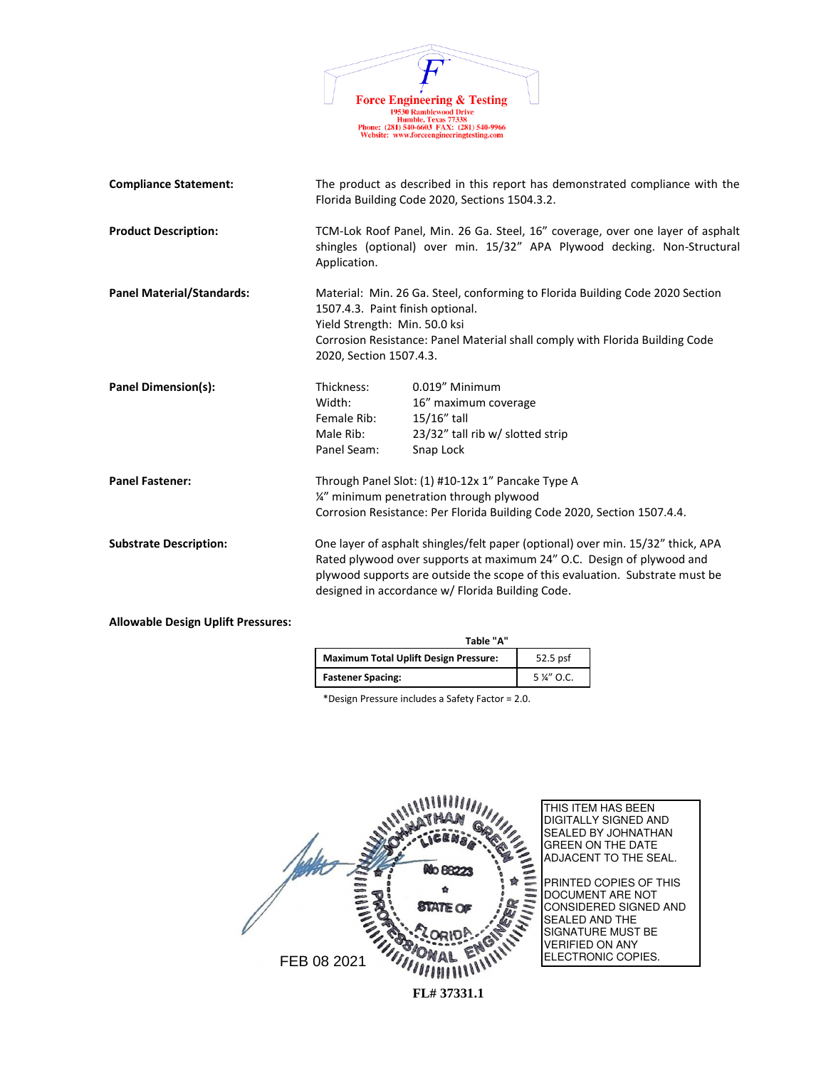

| <b>Compliance Statement:</b>              |                                                                                                                                                                          | The product as described in this report has demonstrated compliance with the<br>Florida Building Code 2020, Sections 1504.3.2.                                                                                                                                                               |
|-------------------------------------------|--------------------------------------------------------------------------------------------------------------------------------------------------------------------------|----------------------------------------------------------------------------------------------------------------------------------------------------------------------------------------------------------------------------------------------------------------------------------------------|
| <b>Product Description:</b>               | Application.                                                                                                                                                             | TCM-Lok Roof Panel, Min. 26 Ga. Steel, 16" coverage, over one layer of asphalt<br>shingles (optional) over min. 15/32" APA Plywood decking. Non-Structural                                                                                                                                   |
| <b>Panel Material/Standards:</b>          | 1507.4.3. Paint finish optional.<br>Yield Strength: Min. 50.0 ksi<br>2020, Section 1507.4.3.                                                                             | Material: Min. 26 Ga. Steel, conforming to Florida Building Code 2020 Section<br>Corrosion Resistance: Panel Material shall comply with Florida Building Code                                                                                                                                |
| Panel Dimension(s):                       | Thickness:<br>Width:<br>Female Rib:<br>Male Rib:<br>Panel Seam:                                                                                                          | 0.019" Minimum<br>16" maximum coverage<br>$15/16$ " tall<br>23/32" tall rib w/ slotted strip<br>Snap Lock                                                                                                                                                                                    |
| <b>Panel Fastener:</b>                    | Through Panel Slot: (1) #10-12x 1" Pancake Type A<br>1/4" minimum penetration through plywood<br>Corrosion Resistance: Per Florida Building Code 2020, Section 1507.4.4. |                                                                                                                                                                                                                                                                                              |
| <b>Substrate Description:</b>             |                                                                                                                                                                          | One layer of asphalt shingles/felt paper (optional) over min. 15/32" thick, APA<br>Rated plywood over supports at maximum 24" O.C. Design of plywood and<br>plywood supports are outside the scope of this evaluation. Substrate must be<br>designed in accordance w/ Florida Building Code. |
| <b>Allowable Design Uplift Pressures:</b> |                                                                                                                                                                          |                                                                                                                                                                                                                                                                                              |

| Table "A"                                    |           |
|----------------------------------------------|-----------|
| <b>Maximum Total Uplift Design Pressure:</b> | 52.5 psf  |
| <b>Fastener Spacing:</b>                     | 5 %" O.C. |

\*Design Pressure includes a Safety Factor = 2.0.

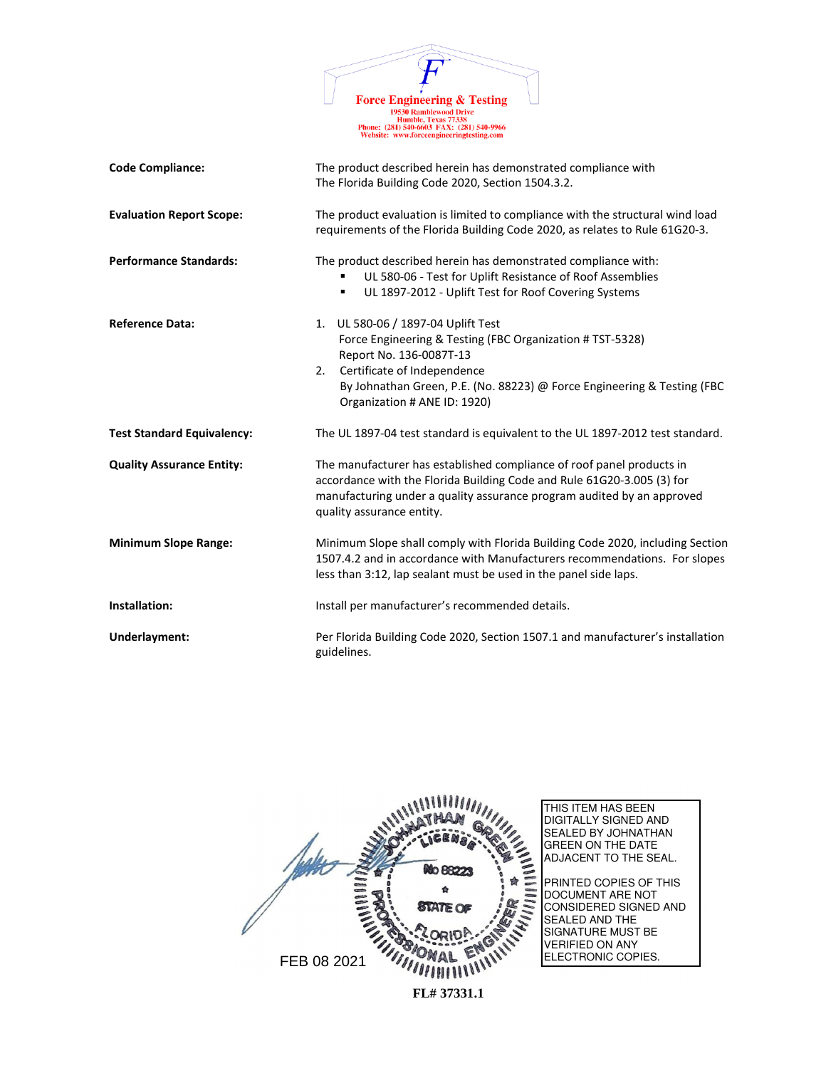|                                   | <b>Force Engineering &amp; Testing</b><br><b>19530 Ramblewood Drive</b><br>Humble, Texas 77338<br>Phone: (281) 540-6603 FAX: (281) 540-9966<br>Website: www.forceengineeringtesting.com                                                                                       |  |
|-----------------------------------|-------------------------------------------------------------------------------------------------------------------------------------------------------------------------------------------------------------------------------------------------------------------------------|--|
| <b>Code Compliance:</b>           | The product described herein has demonstrated compliance with<br>The Florida Building Code 2020, Section 1504.3.2.                                                                                                                                                            |  |
| <b>Evaluation Report Scope:</b>   | The product evaluation is limited to compliance with the structural wind load<br>requirements of the Florida Building Code 2020, as relates to Rule 61G20-3.                                                                                                                  |  |
| <b>Performance Standards:</b>     | The product described herein has demonstrated compliance with:<br>UL 580-06 - Test for Uplift Resistance of Roof Assemblies<br>UL 1897-2012 - Uplift Test for Roof Covering Systems<br>٠                                                                                      |  |
| <b>Reference Data:</b>            | UL 580-06 / 1897-04 Uplift Test<br>1.<br>Force Engineering & Testing (FBC Organization # TST-5328)<br>Report No. 136-0087T-13<br>Certificate of Independence<br>2.<br>By Johnathan Green, P.E. (No. 88223) @ Force Engineering & Testing (FBC<br>Organization # ANE ID: 1920) |  |
| <b>Test Standard Equivalency:</b> | The UL 1897-04 test standard is equivalent to the UL 1897-2012 test standard.                                                                                                                                                                                                 |  |
| <b>Quality Assurance Entity:</b>  | The manufacturer has established compliance of roof panel products in<br>accordance with the Florida Building Code and Rule 61G20-3.005 (3) for<br>manufacturing under a quality assurance program audited by an approved<br>quality assurance entity.                        |  |
| <b>Minimum Slope Range:</b>       | Minimum Slope shall comply with Florida Building Code 2020, including Section<br>1507.4.2 and in accordance with Manufacturers recommendations. For slopes<br>less than 3:12, lap sealant must be used in the panel side laps.                                                |  |
| Installation:                     | Install per manufacturer's recommended details.                                                                                                                                                                                                                               |  |
| Underlayment:                     | Per Florida Building Code 2020, Section 1507.1 and manufacturer's installation<br>guidelines.                                                                                                                                                                                 |  |

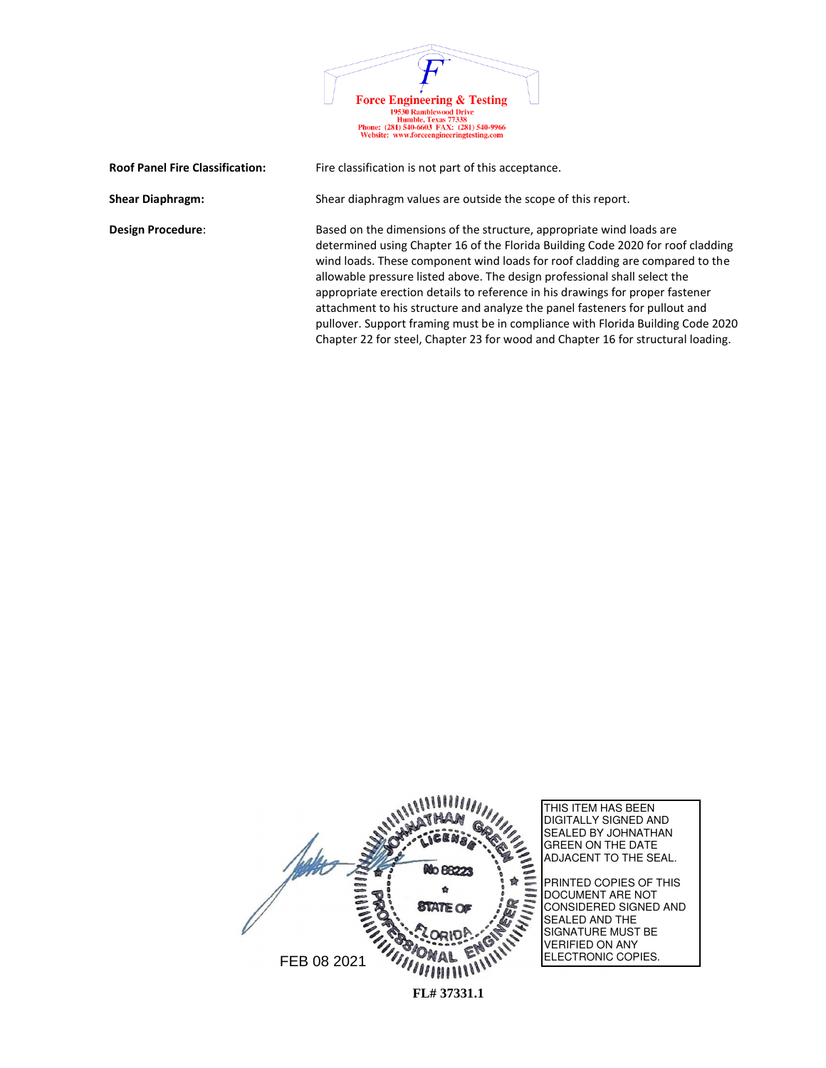| <b>Force Engineering &amp; Testing</b>                                                                                                        |  |
|-----------------------------------------------------------------------------------------------------------------------------------------------|--|
| <b>19530 Ramblewood Drive</b><br>Humble, Texas 77338<br>Phone: (281) 540-6603 FAX: (281) 540-9966<br>Website: www.forceengineeringtesting.com |  |

| <b>Roof Panel Fire Classification:</b> | Fire classification is not part of this acceptance.                                                                                                                                                                                                                                                                                                                                                                                                                                                                                                                                                                                                         |
|----------------------------------------|-------------------------------------------------------------------------------------------------------------------------------------------------------------------------------------------------------------------------------------------------------------------------------------------------------------------------------------------------------------------------------------------------------------------------------------------------------------------------------------------------------------------------------------------------------------------------------------------------------------------------------------------------------------|
| <b>Shear Diaphragm:</b>                | Shear diaphragm values are outside the scope of this report.                                                                                                                                                                                                                                                                                                                                                                                                                                                                                                                                                                                                |
| <b>Design Procedure:</b>               | Based on the dimensions of the structure, appropriate wind loads are<br>determined using Chapter 16 of the Florida Building Code 2020 for roof cladding<br>wind loads. These component wind loads for roof cladding are compared to the<br>allowable pressure listed above. The design professional shall select the<br>appropriate erection details to reference in his drawings for proper fastener<br>attachment to his structure and analyze the panel fasteners for pullout and<br>pullover. Support framing must be in compliance with Florida Building Code 2020<br>Chapter 22 for steel, Chapter 23 for wood and Chapter 16 for structural loading. |